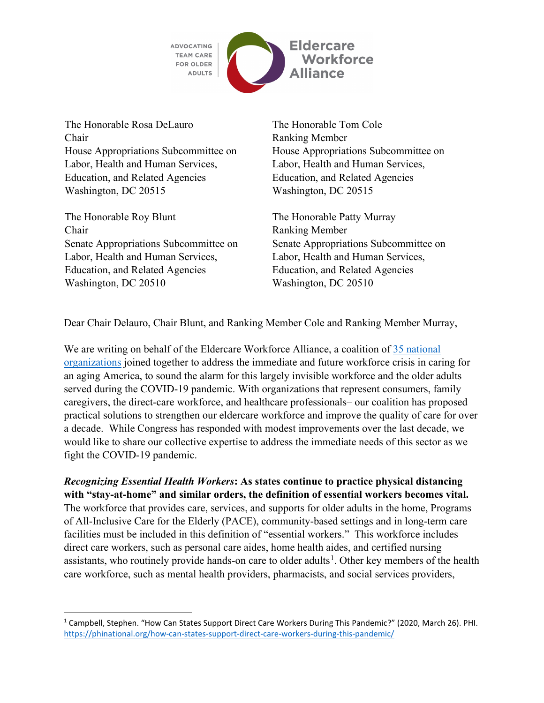

The Honorable Rosa DeLauro The Honorable Tom Cole Chair Ranking Member House Appropriations Subcommittee on Labor, Health and Human Services, Education, and Related Agencies Washington, DC 20515 Washington, DC 20515

The Honorable Roy Blunt The Honorable Patty Murray Chair Ranking Member Senate Appropriations Subcommittee on Labor, Health and Human Services, Education, and Related Agencies Washington, DC 20510 Washington, DC 20510

House Appropriations Subcommittee on Labor, Health and Human Services, Education, and Related Agencies

Senate Appropriations Subcommittee on Labor, Health and Human Services, Education, and Related Agencies

Dear Chair Delauro, Chair Blunt, and Ranking Member Cole and Ranking Member Murray,

We are writing on behalf of the Eldercare Workforce Alliance, a coalition of 35 national [organizations](https://eldercareworkforce.org/about-us/our-members/) joined together to address the immediate and future workforce crisis in caring for an aging America, to sound the alarm for this largely invisible workforce and the older adults served during the COVID-19 pandemic. With organizations that represent consumers, family caregivers, the direct-care workforce, and healthcare professionals– our coalition has proposed practical solutions to strengthen our eldercare workforce and improve the quality of care for over a decade. While Congress has responded with modest improvements over the last decade, we would like to share our collective expertise to address the immediate needs of this sector as we fight the COVID-19 pandemic.

*Recognizing Essential Health Workers***: As states continue to practice physical distancing with "stay-at-home" and similar orders, the definition of essential workers becomes vital.**

The workforce that provides care, services, and supports for older adults in the home, Programs of All-Inclusive Care for the Elderly (PACE), community-based settings and in long-term care facilities must be included in this definition of "essential workers." This workforce includes direct care workers, such as personal care aides, home health aides, and certified nursing assistants, who routinely provide hands-on care to older adults<sup>[1](#page-0-0)</sup>. Other key members of the health care workforce, such as mental health providers, pharmacists, and social services providers,

<span id="page-0-0"></span><sup>1</sup> Campbell, Stephen. "How Can States Support Direct Care Workers During This Pandemic?" (2020, March 26). PHI. <https://phinational.org/how-can-states-support-direct-care-workers-during-this-pandemic/>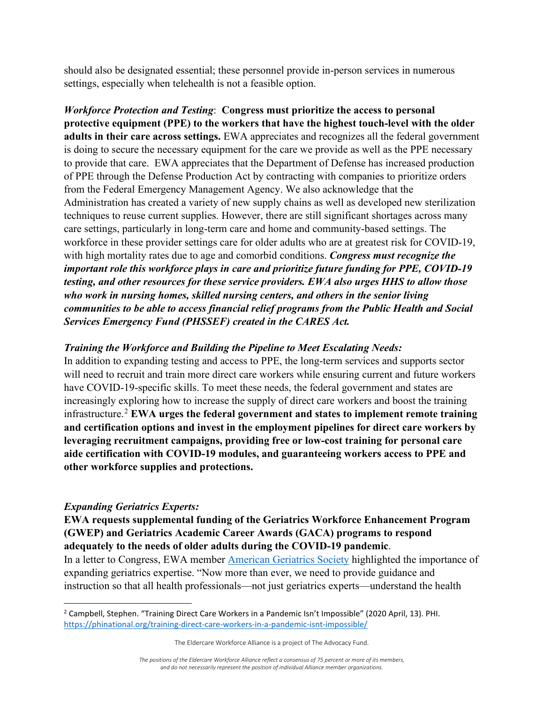should also be designated essential; these personnel provide in-person services in numerous settings, especially when telehealth is not a feasible option.

*Workforce Protection and Testing*: **Congress must prioritize the access to personal protective equipment (PPE) to the workers that have the highest touch-level with the older adults in their care across settings.** EWA appreciates and recognizes all the federal government is doing to secure the necessary equipment for the care we provide as well as the PPE necessary to provide that care. EWA appreciates that the Department of Defense has increased production of PPE through the Defense Production Act by contracting with companies to prioritize orders from the Federal Emergency Management Agency. We also acknowledge that the Administration has created a variety of new supply chains as well as developed new sterilization techniques to reuse current supplies. However, there are still significant shortages across many care settings, particularly in long-term care and home and community-based settings. The workforce in these provider settings care for older adults who are at greatest risk for COVID-19, with high mortality rates due to age and comorbid conditions. *Congress must recognize the important role this workforce plays in care and prioritize future funding for PPE, COVID-19 testing, and other resources for these service providers. EWA also urges HHS to allow those who work in nursing homes, skilled nursing centers, and others in the senior living communities to be able to access financial relief programs from the Public Health and Social Services Emergency Fund (PHSSEF) created in the CARES Act.*

## *Training the Workforce and Building the Pipeline to Meet Escalating Needs:*

In addition to expanding testing and access to PPE, the long-term services and supports sector will need to recruit and train more direct care workers while ensuring current and future workers have COVID-19-specific skills. To meet these needs, the federal government and states are increasingly exploring how to increase the supply of direct care workers and boost the training infrastructure. [2](#page-1-0) **EWA urges the federal government and states to implement remote training and certification options and invest in the employment pipelines for direct care workers by leveraging recruitment campaigns, providing free or low-cost training for personal care aide certification with COVID-19 modules, and guaranteeing workers access to PPE and other workforce supplies and protections.**

## *Expanding Geriatrics Experts:*

**EWA requests supplemental funding of the Geriatrics Workforce Enhancement Program (GWEP) and Geriatrics Academic Career Awards (GACA) programs to respond adequately to the needs of older adults during the COVID-19 pandemic**.

In a letter to Congress, EWA member [American Geriatrics Society](https://www.americangeriatrics.org/sites/default/files/inline-files/American%20Geriatrics%20Society%20COVID-19%20Recommendations%20to%20Congress%20%283%2023%2020%29%20FINAL.pdf) highlighted the importance of expanding geriatrics expertise. "Now more than ever, we need to provide guidance and instruction so that all health professionals—not just geriatrics experts—understand the health

<span id="page-1-0"></span><sup>2</sup> Campbell, Stephen. "Training Direct Care Workers in a Pandemic Isn't Impossible" (2020 April, 13). PHI. <https://phinational.org/training-direct-care-workers-in-a-pandemic-isnt-impossible/>

The Eldercare Workforce Alliance is a project of The Advocacy Fund.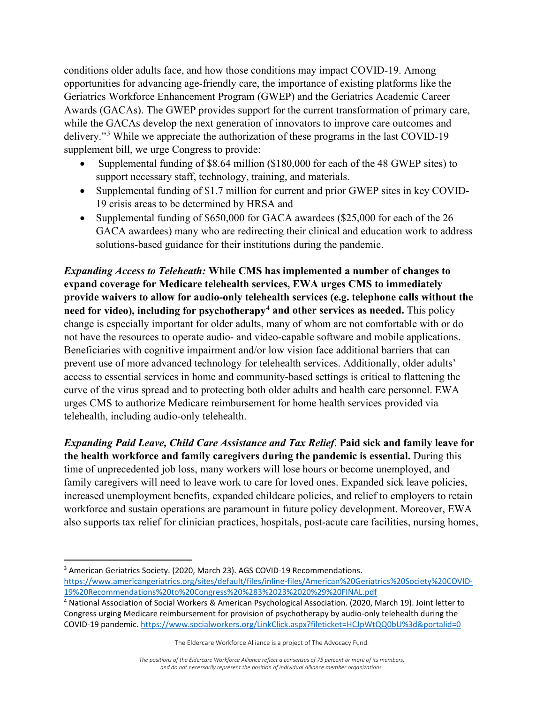conditions older adults face, and how those conditions may impact COVID-19. Among opportunities for advancing age-friendly care, the importance of existing platforms like the Geriatrics Workforce Enhancement Program (GWEP) and the Geriatrics Academic Career Awards (GACAs). The GWEP provides support for the current transformation of primary care, while the GACAs develop the next generation of innovators to improve care outcomes and delivery."[3](#page-2-0) While we appreciate the authorization of these programs in the last COVID-19 supplement bill, we urge Congress to provide:

- Supplemental funding of \$8.64 million (\$180,000 for each of the 48 GWEP sites) to support necessary staff, technology, training, and materials.
- Supplemental funding of \$1.7 million for current and prior GWEP sites in key COVID-19 crisis areas to be determined by HRSA and
- Supplemental funding of \$650,000 for GACA awardees (\$25,000 for each of the 26 GACA awardees) many who are redirecting their clinical and education work to address solutions-based guidance for their institutions during the pandemic.

*Expanding Access to Teleheath:* **While CMS has implemented a number of changes to expand coverage for Medicare telehealth services, EWA urges CMS to immediately provide waivers to allow for audio-only telehealth services (e.g. telephone calls without the need for video), including for psychotherapy[4](#page-2-1) and other services as needed.** This policy change is especially important for older adults, many of whom are not comfortable with or do not have the resources to operate audio- and video-capable software and mobile applications. Beneficiaries with cognitive impairment and/or low vision face additional barriers that can prevent use of more advanced technology for telehealth services. Additionally, older adults' access to essential services in home and community-based settings is critical to flattening the curve of the virus spread and to protecting both older adults and health care personnel. EWA urges CMS to authorize Medicare reimbursement for home health services provided via telehealth, including audio-only telehealth.

*Expanding Paid Leave, Child Care Assistance and Tax Relief*. **Paid sick and family leave for the health workforce and family caregivers during the pandemic is essential.** During this time of unprecedented job loss, many workers will lose hours or become unemployed, and family caregivers will need to leave work to care for loved ones. Expanded sick leave policies, increased unemployment benefits, expanded childcare policies, and relief to employers to retain workforce and sustain operations are paramount in future policy development. Moreover, EWA also supports tax relief for clinician practices, hospitals, post-acute care facilities, nursing homes,

<span id="page-2-0"></span><sup>&</sup>lt;sup>3</sup> American Geriatrics Society. (2020, March 23). AGS COVID-19 Recommendations. [https://www.americangeriatrics.org/sites/default/files/inline-files/American%20Geriatrics%20Society%20COVID-](https://www.americangeriatrics.org/sites/default/files/inline-files/American%20Geriatrics%20Society%20COVID-19%20Recommendations%20to%20Congress%20%283%2023%2020%29%20FINAL.pdf)[19%20Recommendations%20to%20Congress%20%283%2023%2020%29%20FINAL.pdf](https://www.americangeriatrics.org/sites/default/files/inline-files/American%20Geriatrics%20Society%20COVID-19%20Recommendations%20to%20Congress%20%283%2023%2020%29%20FINAL.pdf)

<span id="page-2-1"></span><sup>4</sup> National Association of Social Workers & American Psychological Association. (2020, March 19). Joint letter to Congress urging Medicare reimbursement for provision of psychotherapy by audio-only telehealth during the COVID-19 pandemic[. https://www.socialworkers.org/LinkClick.aspx?fileticket=HCJpWtQQ0bU%3d&portalid=0](https://www.socialworkers.org/LinkClick.aspx?fileticket=HCJpWtQQ0bU%3d&portalid=0)

The Eldercare Workforce Alliance is a project of The Advocacy Fund.